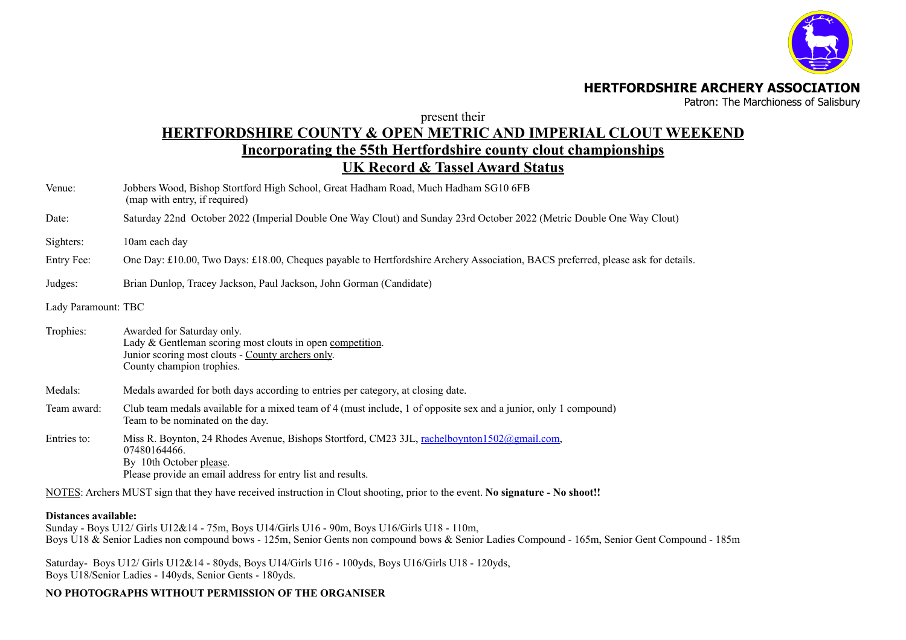

### **HERTFORDSHIRE ARCHERY ASSOCIATION**

Patron: The Marchioness of Salisbury

present their

## **HERTFORDSHIRE COUNTY & OPEN METRIC AND IMPERIAL CLOUT WEEKEND Incorporating the 55th Hertfordshire county clout championships UK Record & Tassel Award Status**

- Venue: Jobbers Wood, Bishop Stortford High School, Great Hadham Road, Much Hadham SG10 6FB (map with entry, if required)
- Date: Saturday 22nd October 2022 (Imperial Double One Way Clout) and Sunday 23rd October 2022 (Metric Double One Way Clout)
- Sighters: 10am each day
- Entry Fee: One Day: £10.00, Two Days: £18.00, Cheques payable to Hertfordshire Archery Association, BACS preferred, please ask for details.
- Judges: Brian Dunlop, Tracey Jackson, Paul Jackson, John Gorman (Candidate)
- Lady Paramount: TBC

Trophies: Awarded for Saturday only. Lady & Gentleman scoring most clouts in open competition. Junior scoring most clouts - County archers only. County champion trophies. Medals: Medals awarded for both days according to entries per category, at closing date.

- Team award: Club team medals available for a mixed team of 4 (must include, 1 of opposite sex and a junior, only 1 compound) Team to be nominated on the day.
- Entries to: Miss R. Boynton, 24 Rhodes Avenue, Bishops Stortford, CM23 3JL, [rachelboynton1502@gmail.com](mailto:rachelboynton1502@gmail.com), 07480164466. By 10th October please. Please provide an email address for entry list and results.

NOTES: Archers MUST sign that they have received instruction in Clout shooting, prior to the event. **No signature - No shoot!!**

#### **Distances available:**

Sunday - Boys U12/ Girls U12&14 - 75m, Boys U14/Girls U16 - 90m, Boys U16/Girls U18 - 110m, Boys U18 & Senior Ladies non compound bows - 125m, Senior Gents non compound bows & Senior Ladies Compound - 165m, Senior Gent Compound - 185m

Saturday- Boys U12/ Girls U12&14 - 80yds, Boys U14/Girls U16 - 100yds, Boys U16/Girls U18 - 120yds, Boys U18/Senior Ladies - 140yds, Senior Gents - 180yds.

## **NO PHOTOGRAPHS WITHOUT PERMISSION OF THE ORGANISER**